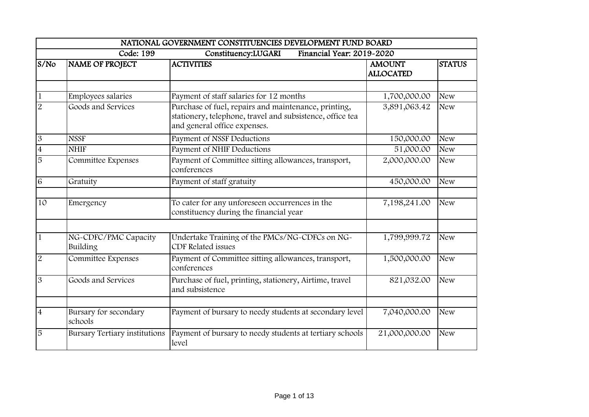|                |                                      | NATIONAL GOVERNMENT CONSTITUENCIES DEVELOPMENT FUND BOARD                                                                                         |                                   |               |
|----------------|--------------------------------------|---------------------------------------------------------------------------------------------------------------------------------------------------|-----------------------------------|---------------|
|                | Code: 199                            | Financial Year: 2019-2020<br>Constituency:LUGARI                                                                                                  |                                   |               |
| S/No           | NAME OF PROJECT                      | <b>ACTIVITIES</b>                                                                                                                                 | <b>AMOUNT</b><br><b>ALLOCATED</b> | <b>STATUS</b> |
| $\mathbf{1}$   | Employees salaries                   | Payment of staff salaries for 12 months                                                                                                           | 1,700,000.00                      | <b>New</b>    |
| $\overline{2}$ | Goods and Services                   | Purchase of fuel, repairs and maintenance, printing,<br>stationery, telephone, travel and subsistence, office tea<br>and general office expenses. | 3,891,063.42                      | <b>New</b>    |
| $\mathfrak{B}$ | <b>NSSF</b>                          | Payment of NSSF Deductions                                                                                                                        | 150,000.00                        | <b>New</b>    |
| $\overline{4}$ | <b>NHIF</b>                          | Payment of NHIF Deductions                                                                                                                        | 51,000.00                         | <b>New</b>    |
| 5              | Committee Expenses                   | Payment of Committee sitting allowances, transport,<br>conferences                                                                                | 2,000,000.00                      | <b>New</b>    |
| 6              | Gratuity                             | Payment of staff gratuity                                                                                                                         | 450,000.00                        | <b>New</b>    |
| 10             | Emergency                            | To cater for any unforeseen occurrences in the<br>constituency during the financial year                                                          | 7,198,241.00                      | <b>New</b>    |
| $\overline{1}$ | NG-CDFC/PMC Capacity<br>Building     | Undertake Training of the PMCs/NG-CDFCs on NG-<br><b>CDF</b> Related issues                                                                       | 1,799,999.72                      | <b>New</b>    |
| $\overline{2}$ | Committee Expenses                   | Payment of Committee sitting allowances, transport,<br>conferences                                                                                | 1,500,000.00                      | <b>New</b>    |
| 3              | Goods and Services                   | Purchase of fuel, printing, stationery, Airtime, travel<br>and subsistence                                                                        | 821,032.00                        | <b>New</b>    |
| $\overline{4}$ | Bursary for secondary<br>schools     | Payment of bursary to needy students at secondary level                                                                                           | 7,040,000.00                      | <b>New</b>    |
| 5              | <b>Bursary Tertiary institutions</b> | Payment of bursary to needy students at tertiary schools<br>level                                                                                 | 21,000,000.00                     | <b>New</b>    |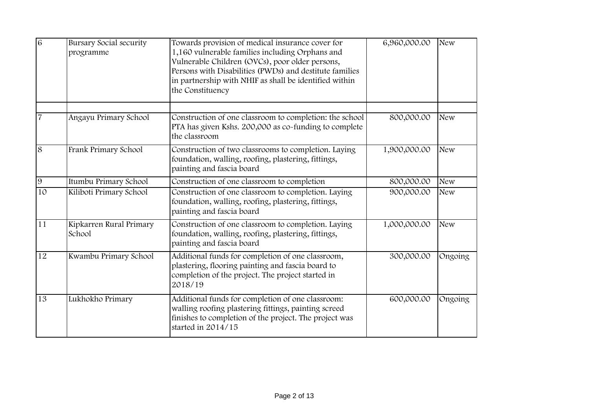| $\overline{6}$ | <b>Bursary Social security</b><br>programme | Towards provision of medical insurance cover for<br>1,160 vulnerable families including Orphans and<br>Vulnerable Children (OVCs), poor older persons,<br>Persons with Disabilities (PWDs) and destitute families<br>in partnership with NHIF as shall be identified within<br>the Constituency | 6,960,000.00 | <b>New</b> |
|----------------|---------------------------------------------|-------------------------------------------------------------------------------------------------------------------------------------------------------------------------------------------------------------------------------------------------------------------------------------------------|--------------|------------|
| $\overline{7}$ | Angayu Primary School                       | Construction of one classroom to completion: the school<br>PTA has given Kshs. 200,000 as co-funding to complete<br>the classroom                                                                                                                                                               | 800,000.00   | <b>New</b> |
| 8              | Frank Primary School                        | Construction of two classrooms to completion. Laying<br>foundation, walling, roofing, plastering, fittings,<br>painting and fascia board                                                                                                                                                        | 1,900,000.00 | <b>New</b> |
| 9              | Itumbu Primary School                       | Construction of one classroom to completion                                                                                                                                                                                                                                                     | 800,000.00   | <b>New</b> |
| 10             | Kiliboti Primary School                     | Construction of one classroom to completion. Laying<br>foundation, walling, roofing, plastering, fittings,<br>painting and fascia board                                                                                                                                                         | 900,000.00   | <b>New</b> |
| 11             | Kipkarren Rural Primary<br>School           | Construction of one classroom to completion. Laying<br>foundation, walling, roofing, plastering, fittings,<br>painting and fascia board                                                                                                                                                         | 1,000,000.00 | <b>New</b> |
| 12             | Kwambu Primary School                       | Additional funds for completion of one classroom,<br>plastering, flooring painting and fascia board to<br>completion of the project. The project started in<br>2018/19                                                                                                                          | 300,000.00   | Ongoing    |
| 13             | Lukhokho Primary                            | Additional funds for completion of one classroom:<br>walling roofing plastering fittings, painting screed<br>finishes to completion of the project. The project was<br>started in 2014/15                                                                                                       | 600,000.00   | Ongoing    |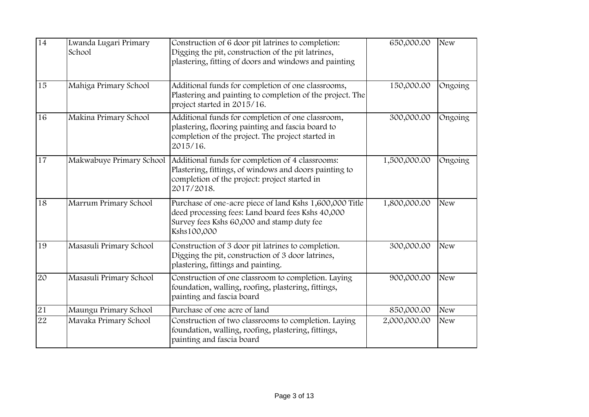| 14 | Lwanda Lugari Primary<br>School | Construction of 6 door pit latrines to completion:<br>Digging the pit, construction of the pit latrines,<br>plastering, fitting of doors and windows and painting         | 650,000.00   | <b>New</b> |
|----|---------------------------------|---------------------------------------------------------------------------------------------------------------------------------------------------------------------------|--------------|------------|
| 15 | Mahiga Primary School           | Additional funds for completion of one classrooms,<br>Plastering and painting to completion of the project. The<br>project started in 2015/16.                            | 150,000.00   | Ongoing    |
| 16 | Makina Primary School           | Additional funds for completion of one classroom,<br>plastering, flooring painting and fascia board to<br>completion of the project. The project started in<br>2015/16.   | 300,000.00   | Ongoing    |
| 17 | Makwabuye Primary School        | Additional funds for completion of 4 classrooms:<br>Plastering, fittings, of windows and doors painting to<br>completion of the project: project started in<br>2017/2018. | 1,500,000.00 | Ongoing    |
| 18 | Marrum Primary School           | Purchase of one-acre piece of land Kshs 1,600,000 Title<br>deed processing fees: Land board fees Kshs 40,000<br>Survey fees Kshs 60,000 and stamp duty fee<br>Kshs100,000 | 1,800,000.00 | <b>New</b> |
| 19 | Masasuli Primary School         | Construction of 3 door pit latrines to completion.<br>Digging the pit, construction of 3 door latrines,<br>plastering, fittings and painting.                             | 300,000.00   | <b>New</b> |
| 20 | Masasuli Primary School         | Construction of one classroom to completion. Laying<br>foundation, walling, roofing, plastering, fittings,<br>painting and fascia board                                   | 900,000.00   | <b>New</b> |
| 21 | Maungu Primary School           | Purchase of one acre of land                                                                                                                                              | 850,000.00   | <b>New</b> |
| 22 | Mavaka Primary School           | Construction of two classrooms to completion. Laying<br>foundation, walling, roofing, plastering, fittings,<br>painting and fascia board                                  | 2,000,000.00 | <b>New</b> |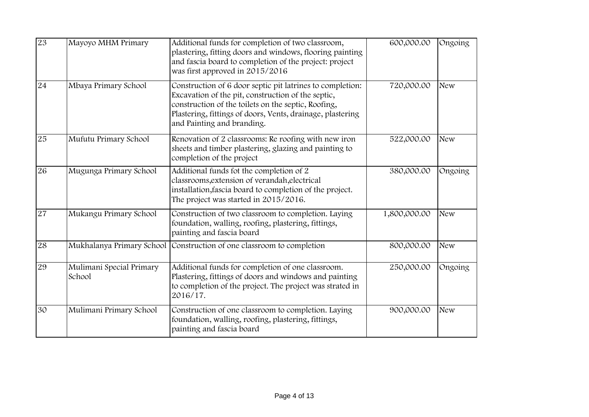| 23 | Mayoyo MHM Primary                 | Additional funds for completion of two classroom,<br>plastering, fitting doors and windows, flooring painting<br>and fascia board to completion of the project: project<br>was first approved in 2015/2016                                                         | 600,000.00   | Ongoing    |
|----|------------------------------------|--------------------------------------------------------------------------------------------------------------------------------------------------------------------------------------------------------------------------------------------------------------------|--------------|------------|
| 24 | Mbaya Primary School               | Construction of 6 door septic pit latrines to completion:<br>Excavation of the pit, construction of the septic,<br>construction of the toilets on the septic, Roofing,<br>Plastering, fittings of doors, Vents, drainage, plastering<br>and Painting and branding. | 720,000.00   | <b>New</b> |
| 25 | Mufutu Primary School              | Renovation of 2 classrooms: Re roofing with new iron<br>sheets and timber plastering, glazing and painting to<br>completion of the project                                                                                                                         | 522,000.00   | <b>New</b> |
| 26 | Mugunga Primary School             | Additional funds fot the completion of 2<br>classrooms, extension of verandah, electrical<br>installation, fascia board to completion of the project.<br>The project was started in 2015/2016.                                                                     | 380,000.00   | Ongoing    |
| 27 | Mukangu Primary School             | Construction of two classroom to completion. Laying<br>foundation, walling, roofing, plastering, fittings,<br>painting and fascia board                                                                                                                            | 1,800,000.00 | <b>New</b> |
| 28 | Mukhalanya Primary School          | Construction of one classroom to completion                                                                                                                                                                                                                        | 800,000.00   | <b>New</b> |
| 29 | Mulimani Special Primary<br>School | Additional funds for completion of one classroom.<br>Plastering, fittings of doors and windows and painting<br>to completion of the project. The project was strated in<br>2016/17.                                                                                | 250,000.00   | Ongoing    |
| 30 | Mulimani Primary School            | Construction of one classroom to completion. Laying<br>foundation, walling, roofing, plastering, fittings,<br>painting and fascia board                                                                                                                            | 900,000.00   | <b>New</b> |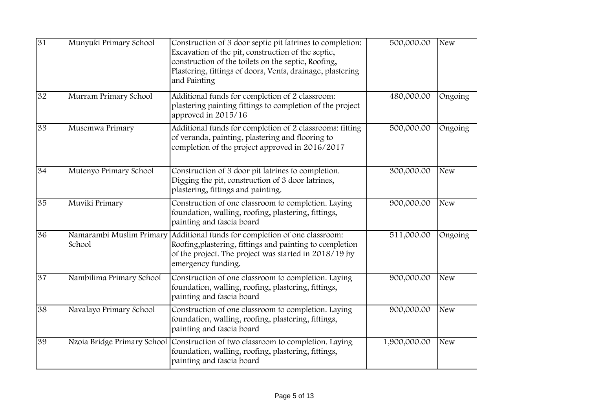| 31 | Munyuki Primary School             | Construction of 3 door septic pit latrines to completion:<br>Excavation of the pit, construction of the septic,<br>construction of the toilets on the septic, Roofing,<br>Plastering, fittings of doors, Vents, drainage, plastering<br>and Painting | 500,000.00              | <b>New</b> |
|----|------------------------------------|------------------------------------------------------------------------------------------------------------------------------------------------------------------------------------------------------------------------------------------------------|-------------------------|------------|
| 32 | Murram Primary School              | Additional funds for completion of 2 classroom:<br>plastering painting fittings to completion of the project<br>approved in 2015/16                                                                                                                  | 480,000.00              | Ongoing    |
| 33 | Musemwa Primary                    | Additional funds for completion of 2 classrooms: fitting<br>of veranda, painting, plastering and flooring to<br>completion of the project approved in 2016/2017                                                                                      | 500,000.00              | Ongoing    |
| 34 | Mutenyo Primary School             | Construction of 3 door pit latrines to completion.<br>Digging the pit, construction of 3 door latrines,<br>plastering, fittings and painting.                                                                                                        | 300,000.00              | <b>New</b> |
| 35 | Muviki Primary                     | Construction of one classroom to completion. Laying<br>foundation, walling, roofing, plastering, fittings,<br>painting and fascia board                                                                                                              | 900,000.00              | <b>New</b> |
| 36 | Namarambi Muslim Primary<br>School | Additional funds for completion of one classroom:<br>Roofing, plastering, fittings and painting to completion<br>of the project. The project was started in 2018/19 by<br>emergency funding.                                                         | $51\overline{1,000.00}$ | Ongoing    |
| 37 | Nambilima Primary School           | Construction of one classroom to completion. Laying<br>foundation, walling, roofing, plastering, fittings,<br>painting and fascia board                                                                                                              | 900,000.00              | <b>New</b> |
| 38 | Navalayo Primary School            | Construction of one classroom to completion. Laying<br>foundation, walling, roofing, plastering, fittings,<br>painting and fascia board                                                                                                              | 900,000.00              | <b>New</b> |
| 39 |                                    | Nzoia Bridge Primary School Construction of two classroom to completion. Laying<br>foundation, walling, roofing, plastering, fittings,<br>painting and fascia board                                                                                  | 1,900,000.00            | <b>New</b> |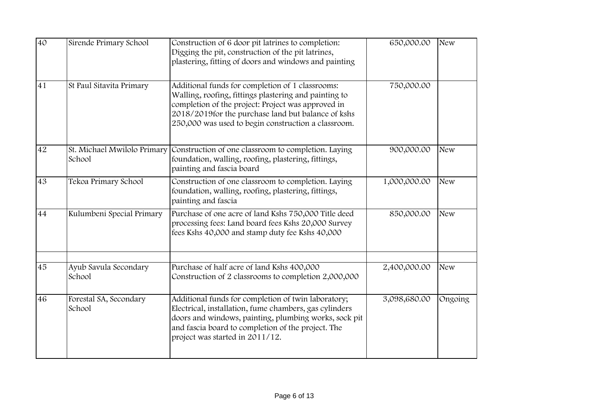| 40              | Sirende Primary School                | Construction of 6 door pit latrines to completion:<br>Digging the pit, construction of the pit latrines,<br>plastering, fitting of doors and windows and painting                                                                                                             | 650,000.00   | <b>New</b> |
|-----------------|---------------------------------------|-------------------------------------------------------------------------------------------------------------------------------------------------------------------------------------------------------------------------------------------------------------------------------|--------------|------------|
| 41              | St Paul Sitavita Primary              | Additional funds for completion of 1 classrooms:<br>Walling, roofing, fittings plastering and painting to<br>completion of the project: Project was approved in<br>2018/2019 for the purchase land but balance of kshs<br>250,000 was used to begin construction a classroom. | 750,000.00   |            |
| 42              | St. Michael Mwilolo Primary<br>School | Construction of one classroom to completion. Laying<br>foundation, walling, roofing, plastering, fittings,<br>painting and fascia board                                                                                                                                       | 900,000.00   | <b>New</b> |
| 43              | Tekoa Primary School                  | Construction of one classroom to completion. Laying<br>foundation, walling, roofing, plastering, fittings,<br>painting and fascia                                                                                                                                             | 1,000,000.00 | <b>New</b> |
| 44              | Kulumbeni Special Primary             | Purchase of one acre of land Kshs 750,000 Title deed<br>processing fees: Land board fees Kshs 20,000 Survey<br>fees Kshs 40,000 and stamp duty fee Kshs 40,000                                                                                                                | 850,000.00   | <b>New</b> |
| 45              | Ayub Savula Secondary<br>School       | Purchase of half acre of land Kshs 400,000<br>Construction of 2 classrooms to completion 2,000,000                                                                                                                                                                            | 2,400,000.00 | <b>New</b> |
| $\overline{46}$ | Forestal SA, Secondary<br>School      | Additional funds for completion of twin laboratory;<br>Electrical, installation, fume chambers, gas cylinders<br>doors and windows, painting, plumbing works, sock pit<br>and fascia board to completion of the project. The<br>project was started in 2011/12.               | 3,098,680.00 | Ongoing    |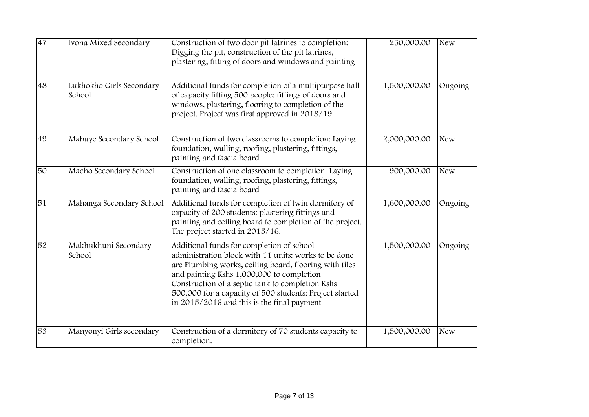| 47 | Ivona Mixed Secondary              | Construction of two door pit latrines to completion:<br>Digging the pit, construction of the pit latrines,<br>plastering, fitting of doors and windows and painting                                                                                                                                                                                                   | 250,000.00   | <b>New</b> |
|----|------------------------------------|-----------------------------------------------------------------------------------------------------------------------------------------------------------------------------------------------------------------------------------------------------------------------------------------------------------------------------------------------------------------------|--------------|------------|
| 48 | Lukhokho Girls Secondary<br>School | Additional funds for completion of a multipurpose hall<br>of capacity fitting 500 people: fittings of doors and<br>windows, plastering, flooring to completion of the<br>project. Project was first approved in 2018/19.                                                                                                                                              | 1,500,000.00 | Ongoing    |
| 49 | Mabuye Secondary School            | Construction of two classrooms to completion: Laying<br>foundation, walling, roofing, plastering, fittings,<br>painting and fascia board                                                                                                                                                                                                                              | 2,000,000.00 | <b>New</b> |
| 50 | Macho Secondary School             | Construction of one classroom to completion. Laying<br>foundation, walling, roofing, plastering, fittings,<br>painting and fascia board                                                                                                                                                                                                                               | 900,000.00   | <b>New</b> |
| 51 | Mahanga Secondary School           | Additional funds for completion of twin dormitory of<br>capacity of 200 students: plastering fittings and<br>painting and ceiling board to completion of the project.<br>The project started in 2015/16.                                                                                                                                                              | 1,600,000.00 | Ongoing    |
| 52 | Makhukhuni Secondary<br>School     | Additional funds for completion of school<br>administration block with 11 units: works to be done<br>are Plumbing works, ceiling board, flooring with tiles<br>and painting Kshs 1,000,000 to completion<br>Construction of a septic tank to completion Kshs<br>500,000 for a capacity of 500 students: Project started<br>in 2015/2016 and this is the final payment | 1,500,000.00 | Ongoing    |
| 53 | Manyonyi Girls secondary           | Construction of a dormitory of 70 students capacity to<br>completion.                                                                                                                                                                                                                                                                                                 | 1,500,000.00 | <b>New</b> |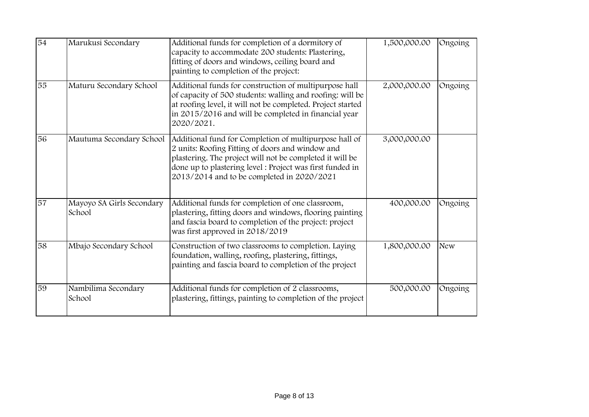| 54 | Marukusi Secondary                  | Additional funds for completion of a dormitory of<br>capacity to accommodate 200 students: Plastering,<br>fitting of doors and windows, ceiling board and<br>painting to completion of the project:                                                                               | 1,500,000.00 | Ongoing    |
|----|-------------------------------------|-----------------------------------------------------------------------------------------------------------------------------------------------------------------------------------------------------------------------------------------------------------------------------------|--------------|------------|
| 55 | Maturu Secondary School             | Additional funds for construction of multipurpose hall<br>of capacity of 500 students: walling and roofing: will be<br>at roofing level, it will not be completed. Project started<br>in 2015/2016 and will be completed in financial year<br>2020/2021.                          | 2,000,000.00 | Ongoing    |
| 56 | Mautuma Secondary School            | Additional fund for Completion of multipurpose hall of<br>2 units: Roofing Fitting of doors and window and<br>plastering. The project will not be completed it will be<br>done up to plastering level : Project was first funded in<br>2013/2014 and to be completed in 2020/2021 | 3,000,000.00 |            |
| 57 | Mayoyo SA Girls Secondary<br>School | Additional funds for completion of one classroom,<br>plastering, fitting doors and windows, flooring painting<br>and fascia board to completion of the project: project<br>was first approved in 2018/2019                                                                        | 400,000.00   | Ongoing    |
| 58 | Mbajo Secondary School              | Construction of two classrooms to completion. Laying<br>foundation, walling, roofing, plastering, fittings,<br>painting and fascia board to completion of the project                                                                                                             | 1,800,000.00 | <b>New</b> |
| 59 | Nambilima Secondary<br>School       | Additional funds for completion of 2 classrooms,<br>plastering, fittings, painting to completion of the project                                                                                                                                                                   | 500,000.00   | Ongoing    |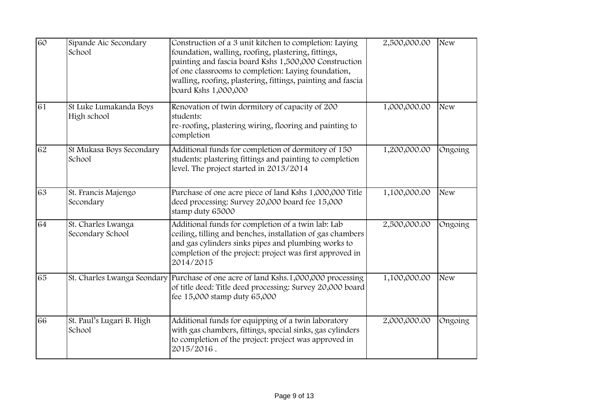| 60 | Sipande Aic Secondary<br>School        | Construction of a 3 unit kitchen to completion: Laying<br>foundation, walling, roofing, plastering, fittings,<br>painting and fascia board Kshs 1,500,000 Construction<br>of one classrooms to completion: Laying foundation,<br>walling, roofing, plastering, fittings, painting and fascia<br>board Kshs 1,000,000 | 2,500,000.00 | <b>New</b> |
|----|----------------------------------------|----------------------------------------------------------------------------------------------------------------------------------------------------------------------------------------------------------------------------------------------------------------------------------------------------------------------|--------------|------------|
| 61 | St Luke Lumakanda Boys<br>High school  | Renovation of twin dormitory of capacity of 200<br>students:<br>re-roofing, plastering wiring, flooring and painting to<br>completion                                                                                                                                                                                | 1,000,000.00 | <b>New</b> |
| 62 | St Mukasa Boys Secondary<br>School     | Additional funds for completion of dormitory of 150<br>students: plastering fittings and painting to completion<br>level. The project started in 2013/2014                                                                                                                                                           | 1,200,000.00 | Ongoing    |
| 63 | St. Francis Majengo<br>Secondary       | Purchase of one acre piece of land Kshs 1,000,000 Title<br>deed processing: Survey 20,000 board fee 15,000<br>stamp duty 65000                                                                                                                                                                                       | 1,100,000.00 | <b>New</b> |
| 64 | St. Charles Lwanga<br>Secondary School | Additional funds for completion of a twin lab: Lab<br>ceiling, tilling and benches, installation of gas chambers<br>and gas cylinders sinks pipes and plumbing works to<br>completion of the project: project was first approved in<br>2014/2015                                                                     | 2,500,000.00 | Ongoing    |
| 65 |                                        | St. Charles Lwanga Seondary Purchase of one acre of land Kshs.1,000,000 processing<br>of title deed: Title deed processing: Survey 20,000 board<br>fee 15,000 stamp duty 65,000                                                                                                                                      | 1,100,000.00 | <b>New</b> |
| 66 | St. Paul's Lugari B. High<br>School    | Additional funds for equipping of a twin laboratory<br>with gas chambers, fittings, special sinks, gas cylinders<br>to completion of the project: project was approved in<br>2015/2016.                                                                                                                              | 2,000,000.00 | Ongoing    |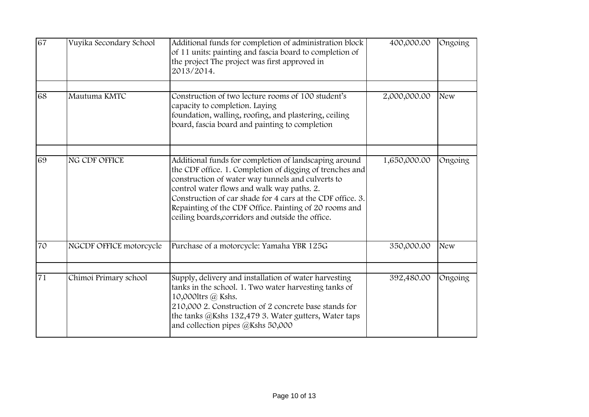| 67 | Vuyika Secondary School | Additional funds for completion of administration block<br>of 11 units: painting and fascia board to completion of<br>the project The project was first approved in<br>2013/2014.                                                                                                                                                                                                                 | 400,000.00   | Ongoing    |
|----|-------------------------|---------------------------------------------------------------------------------------------------------------------------------------------------------------------------------------------------------------------------------------------------------------------------------------------------------------------------------------------------------------------------------------------------|--------------|------------|
| 68 | Mautuma KMTC            | Construction of two lecture rooms of 100 student's<br>capacity to completion. Laying<br>foundation, walling, roofing, and plastering, ceiling<br>board, fascia board and painting to completion                                                                                                                                                                                                   | 2,000,000.00 | <b>New</b> |
| 69 | NG CDF OFFICE           | Additional funds for completion of landscaping around<br>the CDF office. 1. Completion of digging of trenches and<br>construction of water way tunnels and culverts to<br>control water flows and walk way paths. 2.<br>Construction of car shade for 4 cars at the CDF office. 3.<br>Repainting of the CDF Office. Painting of 20 rooms and<br>ceiling boards, corridors and outside the office. | 1,650,000.00 | Ongoing    |
| 70 | NGCDF OFFICE motorcycle | Purchase of a motorcycle: Yamaha YBR 125G                                                                                                                                                                                                                                                                                                                                                         | 350,000.00   | <b>New</b> |
| 71 | Chimoi Primary school   | Supply, delivery and installation of water harvesting<br>tanks in the school. 1. Two water harvesting tanks of<br>10,000ltrs @ Kshs.<br>210,000 2. Construction of 2 concrete base stands for<br>the tanks @Kshs 132,479 3. Water gutters, Water taps<br>and collection pipes @Kshs 50,000                                                                                                        | 392,480.00   | Ongoing    |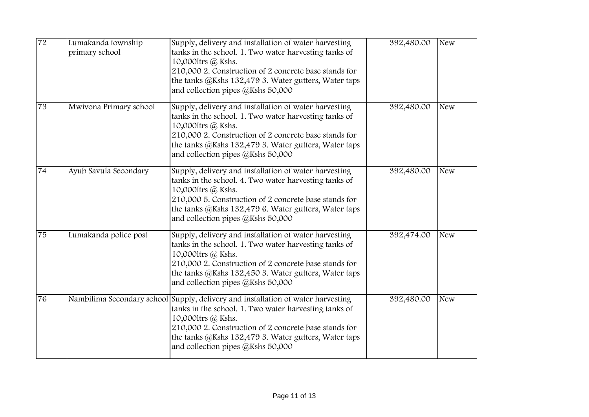| 72 | Lumakanda township<br>primary school | Supply, delivery and installation of water harvesting<br>tanks in the school. 1. Two water harvesting tanks of<br>10,000ltrs @ Kshs.<br>210,000 2. Construction of 2 concrete base stands for<br>the tanks @Kshs 132,479 3. Water gutters, Water taps<br>and collection pipes @Kshs 50,000                            | 392,480.00 | <b>New</b> |
|----|--------------------------------------|-----------------------------------------------------------------------------------------------------------------------------------------------------------------------------------------------------------------------------------------------------------------------------------------------------------------------|------------|------------|
| 73 | Mwivona Primary school               | Supply, delivery and installation of water harvesting<br>tanks in the school. 1. Two water harvesting tanks of<br>10,000ltrs @ Kshs.<br>210,000 2. Construction of 2 concrete base stands for<br>the tanks @Kshs 132,479 3. Water gutters, Water taps<br>and collection pipes @Kshs 50,000                            | 392,480.00 | <b>New</b> |
| 74 | Ayub Savula Secondary                | Supply, delivery and installation of water harvesting<br>tanks in the school. 4. Two water harvesting tanks of<br>10,000ltrs @ Kshs.<br>210,000 5. Construction of 2 concrete base stands for<br>the tanks @Kshs 132,479 6. Water gutters, Water taps<br>and collection pipes @Kshs 50,000                            | 392,480.00 | <b>New</b> |
| 75 | Lumakanda police post                | Supply, delivery and installation of water harvesting<br>tanks in the school. 1. Two water harvesting tanks of<br>10,000ltrs @ Kshs.<br>210,000 2. Construction of 2 concrete base stands for<br>the tanks @Kshs 132,450 3. Water gutters, Water taps<br>and collection pipes @Kshs 50,000                            | 392,474.00 | <b>New</b> |
| 76 |                                      | Nambilima Secondary school Supply, delivery and installation of water harvesting<br>tanks in the school. 1. Two water harvesting tanks of<br>10,000ltrs @ Kshs.<br>210,000 2. Construction of 2 concrete base stands for<br>the tanks @Kshs 132,479 3. Water gutters, Water taps<br>and collection pipes @Kshs 50,000 | 392,480.00 | <b>New</b> |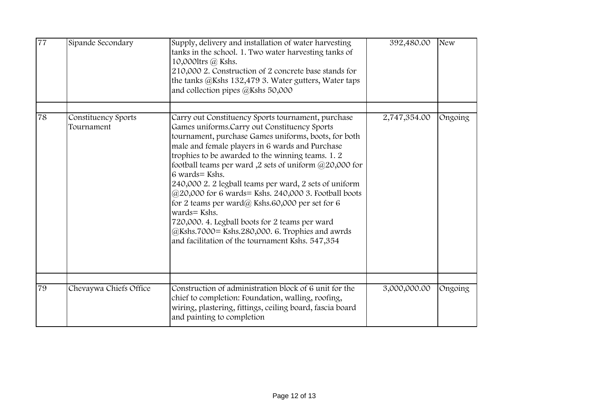| 77 | Sipande Secondary                 | Supply, delivery and installation of water harvesting<br>tanks in the school. 1. Two water harvesting tanks of<br>10,0001trs @ Kshs.<br>210,000 2. Construction of 2 concrete base stands for<br>the tanks @Kshs 132,479 3. Water gutters, Water taps<br>and collection pipes @Kshs 50,000                                                                                                                                                                                                                                                                                                                                                                                                   | 392,480.00   | <b>New</b> |
|----|-----------------------------------|----------------------------------------------------------------------------------------------------------------------------------------------------------------------------------------------------------------------------------------------------------------------------------------------------------------------------------------------------------------------------------------------------------------------------------------------------------------------------------------------------------------------------------------------------------------------------------------------------------------------------------------------------------------------------------------------|--------------|------------|
| 78 | Constituency Sports<br>Tournament | Carry out Constituency Sports tournament, purchase<br>Games uniforms.Carry out Constituency Sports<br>tournament, purchase Games uniforms, boots, for both<br>male and female players in 6 wards and Purchase<br>trophies to be awarded to the winning teams. 1.2<br>football teams per ward ,2 sets of uniform @20,000 for<br>6 wards = Kshs.<br>240,000 2. 2 legball teams per ward, 2 sets of uniform<br>@20,000 for 6 wards= Kshs. 240,000 3. Football boots<br>for 2 teams per ward@ Kshs.60,000 per set for 6<br>wards= Kshs.<br>720,000. 4. Legball boots for 2 teams per ward<br>@Kshs.7000= Kshs.280,000. 6. Trophies and awrds<br>and facilitation of the tournament Kshs. 547,354 | 2,747,354.00 | Ongoing    |
| 79 | Chevaywa Chiefs Office            | Construction of administration block of 6 unit for the<br>chief to completion: Foundation, walling, roofing,<br>wiring, plastering, fittings, ceiling board, fascia board<br>and painting to completion                                                                                                                                                                                                                                                                                                                                                                                                                                                                                      | 3,000,000.00 | Ongoing    |